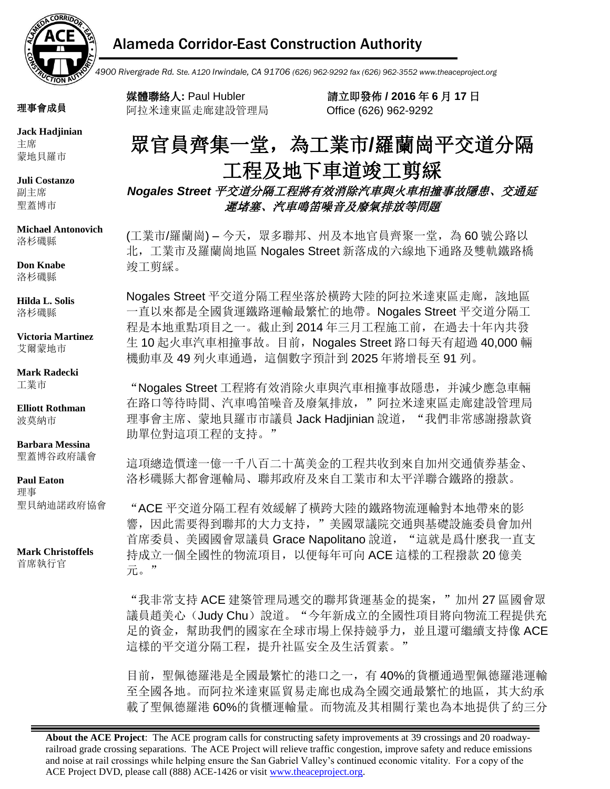

## Alameda Corridor-East Construction Authority

 *4900 Rivergrade Rd. Ste. A120 Irwindale, CA 91706 (626) 962-9292 fax (626) 962-3552 www.theaceproject.org*

理事會成員

**Jack Hadjinian** 主席 蒙地貝羅市

**Juli Costanzo** 副主席 聖蓋博市

#### **Michael Antonovich** 洛杉磯縣

**Don Knabe**

洛杉磯縣

**Hilda L. Solis** 洛杉磯縣

**Victoria Martinez** 艾爾蒙地市

#### **Mark Radecki** 工業市

**Elliott Rothman** 波莫納市

#### **Barbara Messina** 聖蓋博谷政府議會

#### **Paul Eaton**

理事 聖貝納迪諾政府協會

**Mark Christoffels** 首席執行官

阿拉米達東區走廊建設管理局 Office (626) 962-9292

媒體聯絡人**:** Paul Hubler 請立即發佈 **/ 2016** 年 **6** 月 **17** 日

# 眾官員齊集一堂,為工業市**/**羅蘭崗平交道分隔 工程及地下車道竣工剪綵

*Nogales Street* 平交道分隔工程將有效消除汽車與火車相撞事故隱患、交通延 遲堵塞、汽車鳴笛噪音及廢氣排放等問題

(工業市/羅蘭崗) – 今天,眾多聯邦、州及本地官員齊聚一堂,為60號公路以 北,工業市及羅蘭崗地區 Nogales Street 新落成的六線地下通路及雙軌鐵路橋 竣工剪綵。

Nogales Street 平交道分隔工程坐落於橫跨大陸的阿拉米達東區走廊,該地區 一直以來都是全國貨運鐵路運輸最繁忙的地帶。Nogales Street 平交道分隔工 程是本地重點項目之一。截止到 2014 年三月工程施工前,在過去十年內共發 生 10 起火車汽車相撞事故。目前, Nogales Street 路口每天有超過 40,000 輛 機動車及 49 列火車通過,這個數字預計到 2025 年將增長至 91 列。

"Nogales Street 工程將有效消除火車與汽車相撞事故隱患,并減少應急車輛 在路口等待時間、汽車鳴笛噪音及廢氣排放,"阿拉米達東區走廊建設管理局 理事會主席、蒙地貝羅市市議員 Jack Hadjinian 說道, "我們非常感謝撥款資 助單位對這項工程的支持。"

這項總造價達一億一千八百二十萬美金的工程共收到來自加州交通債券基金、 洛杉磯縣大都會運輸局、聯邦政府及來自工業市和太平洋聯合鐵路的撥款。

"ACE 平交道分隔工程有效緩解了橫跨大陸的鐵路物流運輸對本地帶來的影 響,因此需要得到聯邦的大力支持,"美國眾議院交通與基礎設施委員會加州 首席委員、美國國會眾議員 Grace Napolitano 說道, "這就是爲什麽我一直支 持成立一個全國性的物流項目,以便每年可向 ACE 這樣的工程撥款 20 億美 元。"

"我非常支持 ACE 建築管理局遞交的聯邦貨運基金的提案,"加州 27 區國會眾 議員趙美心(Judy Chu)說道。"今年新成立的全國性項目將向物流工程提供充 足的資金,幫助我們的國家在全球市場上保持競爭力,並且還可繼續支持像 ACE 這樣的平交道分隔工程,提升社區安全及生活質素。"

目前,聖佩德羅港是全國最繁忙的港口之一,有 40%的貨櫃通過聖佩德羅港運輸 至全國各地。而阿拉米達東區貿易走廊也成為全國交通最繁忙的地區,其大約承 載了聖佩德羅港 60%的貨櫃運輸量。而物流及其相關行業也為本地提供了約三分

**About the ACE Project**: The ACE program calls for constructing safety improvements at 39 crossings and 20 roadwayrailroad grade crossing separations. The ACE Project will relieve traffic congestion, improve safety and reduce emissions and noise at rail crossings while helping ensure the San Gabriel Valley's continued economic vitality. For a copy of the ACE Project DVD, please call (888) ACE-1426 or visit www.theaceproject.org.